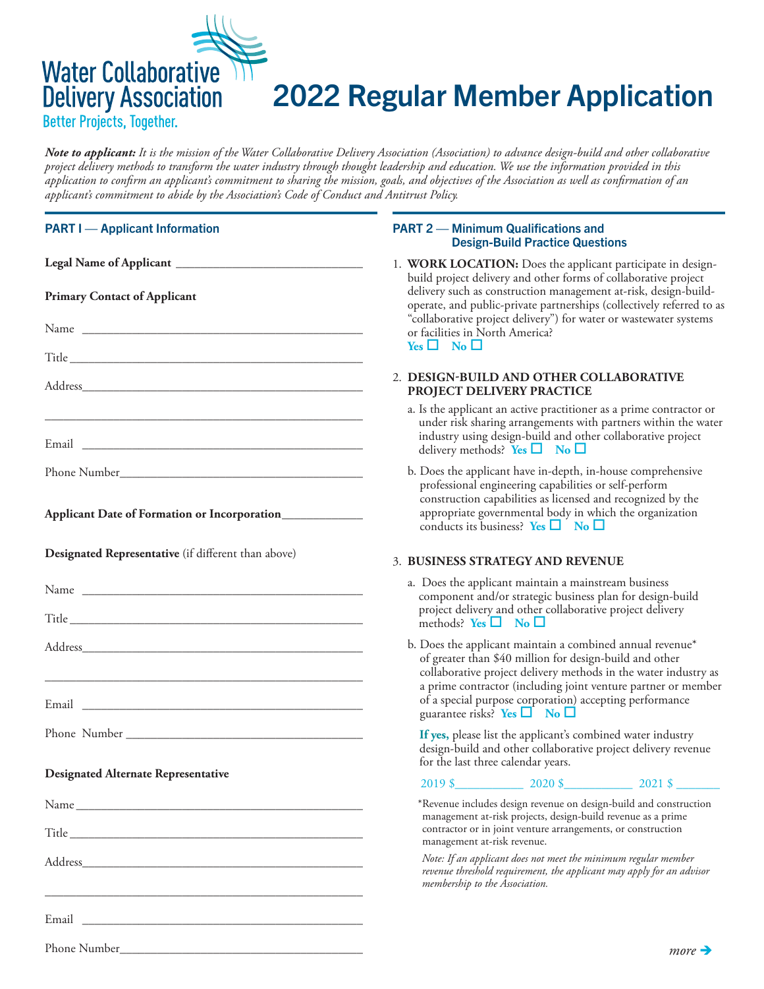# 2022 Regular Member Application

**Better Projects, Together.** 

**Water Collaborative** 

**Delivery Association** 

*Note to applicant: It is the mission of the Water Collaborative Delivery Association (Association) to advance design-build and other collaborative project delivery methods to transform the water industry through thought leadership and education. We use the information provided in this application to confirm an applicant's commitment to sharing the mission, goals, and objectives of the Association as well as confirmation of an applicant's commitment to abide by the Association's Code of Conduct and Antitrust Policy.* 

| <b>PART I</b> - Applicant Information                     | <b>PART 2 – Minimum Qualifications and</b><br><b>Design-Build Practice Questions</b>                                                                                                                                                                 |
|-----------------------------------------------------------|------------------------------------------------------------------------------------------------------------------------------------------------------------------------------------------------------------------------------------------------------|
|                                                           | 1. WORK LOCATION: Does the applicant participate in design-                                                                                                                                                                                          |
| <b>Primary Contact of Applicant</b>                       | build project delivery and other forms of collaborative project<br>delivery such as construction management at-risk, design-build-<br>operate, and public-private partnerships (collectively referred to as                                          |
|                                                           | "collaborative project delivery") for water or wastewater systems<br>or facilities in North America?                                                                                                                                                 |
|                                                           | $Yes \Box No \Box$                                                                                                                                                                                                                                   |
|                                                           | 2. DESIGN-BUILD AND OTHER COLLABORATIVE<br>PROJECT DELIVERY PRACTICE                                                                                                                                                                                 |
|                                                           | a. Is the applicant an active practitioner as a prime contractor or<br>under risk sharing arrangements with partners within the water<br>industry using design-build and other collaborative project<br>delivery methods? Yes $\square$ No $\square$ |
|                                                           | b. Does the applicant have in-depth, in-house comprehensive                                                                                                                                                                                          |
| Applicant Date of Formation or Incorporation_____________ | professional engineering capabilities or self-perform<br>construction capabilities as licensed and recognized by the<br>appropriate governmental body in which the organization<br>conducts its business? Yes $\square$ No $\square$                 |
| Designated Representative (if different than above)       | 3. BUSINESS STRATEGY AND REVENUE                                                                                                                                                                                                                     |
|                                                           | a. Does the applicant maintain a mainstream business<br>component and/or strategic business plan for design-build<br>project delivery and other collaborative project delivery<br>methods? Yes $\Box$ No $\Box$                                      |
|                                                           | b. Does the applicant maintain a combined annual revenue*<br>of greater than \$40 million for design-build and other<br>collaborative project delivery methods in the water industry as                                                              |
|                                                           | a prime contractor (including joint venture partner or member<br>of a special purpose corporation) accepting performance<br>guarantee risks? <b>Yes</b> $\Box$ <b>No</b> $\Box$                                                                      |
|                                                           | If yes, please list the applicant's combined water industry                                                                                                                                                                                          |
|                                                           | design-build and other collaborative project delivery revenue<br>for the last three calendar years.                                                                                                                                                  |
| <b>Designated Alternate Representative</b>                | $2020 \frac{\text{}}{\text{}}$ 2021 \\$<br>$2019 \frac{\xi}{2010 \frac{\xi}{2010}}$                                                                                                                                                                  |
|                                                           | *Revenue includes design revenue on design-build and construction<br>management at-risk projects, design-build revenue as a prime<br>contractor or in joint venture arrangements, or construction                                                    |
|                                                           | management at-risk revenue.<br>Note: If an applicant does not meet the minimum regular member<br>revenue threshold requirement, the applicant may apply for an advisor<br>membership to the Association.                                             |
|                                                           |                                                                                                                                                                                                                                                      |
|                                                           | $more \rightarrow$                                                                                                                                                                                                                                   |